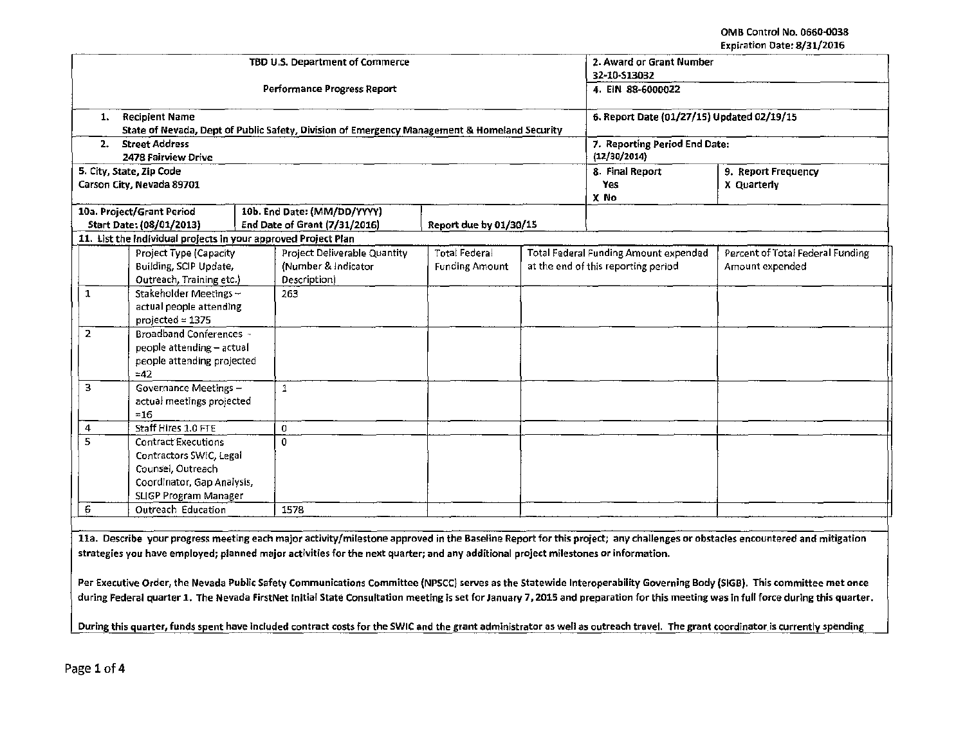|              |                                                                | TBD U.S. Department of Commerce                                                              | 2. Award or Grant Number |  |                                              |                                                                                                                                                                            |
|--------------|----------------------------------------------------------------|----------------------------------------------------------------------------------------------|--------------------------|--|----------------------------------------------|----------------------------------------------------------------------------------------------------------------------------------------------------------------------------|
|              |                                                                |                                                                                              |                          |  | 32-10-513032                                 |                                                                                                                                                                            |
|              |                                                                | Performance Progress Report                                                                  |                          |  | 4. EIN 88-6000022                            |                                                                                                                                                                            |
| 1.           | <b>Recipient Name</b>                                          |                                                                                              |                          |  | 6. Report Date (01/27/15) Updated 02/19/15   |                                                                                                                                                                            |
|              |                                                                | State of Nevada, Dept of Public Safety, Division of Emergency Management & Homeland Security |                          |  |                                              |                                                                                                                                                                            |
| 2.           | <b>Street Address</b>                                          |                                                                                              |                          |  | 7. Reporting Period End Date:                |                                                                                                                                                                            |
|              | 2478 Fairview Drive                                            |                                                                                              |                          |  | (12/30/2014)                                 |                                                                                                                                                                            |
|              | 5. City, State, Zip Code                                       |                                                                                              |                          |  | 8. Final Report                              | 9. Report Frequency                                                                                                                                                        |
|              | Carson City, Nevada 89701                                      |                                                                                              |                          |  | Yes                                          | X Quarterly                                                                                                                                                                |
|              |                                                                |                                                                                              |                          |  | X No                                         |                                                                                                                                                                            |
|              | 10a. Project/Grant Period                                      | 10b. End Date: (MM/DD/YYYY)                                                                  |                          |  |                                              |                                                                                                                                                                            |
|              | Start Date: (08/01/2013)                                       | End Date of Grant (7/31/2016)                                                                | Report due by 01/30/15   |  |                                              |                                                                                                                                                                            |
|              | 11. List the individual projects in your approved Project Plan |                                                                                              |                          |  |                                              |                                                                                                                                                                            |
|              | Project Type (Capacity                                         | Project Deliverable Quantity                                                                 | <b>Total Federal</b>     |  | <b>Total Federal Funding Amount expended</b> | Percent of Total Federal Funding                                                                                                                                           |
|              | Building, SCIP Update,                                         | (Number & Indicator                                                                          | <b>Funding Amount</b>    |  | at the end of this reporting period          | Amount expended                                                                                                                                                            |
|              | Outreach, Training etc.)                                       | Description)                                                                                 |                          |  |                                              |                                                                                                                                                                            |
| $\mathbf{1}$ | Stakeholder Meetings-                                          | 263                                                                                          |                          |  |                                              |                                                                                                                                                                            |
|              | actual people attending                                        |                                                                                              |                          |  |                                              |                                                                                                                                                                            |
|              | projected = $1375$                                             |                                                                                              |                          |  |                                              |                                                                                                                                                                            |
| $\mathbf{2}$ | <b>Broadband Conferences -</b>                                 |                                                                                              |                          |  |                                              |                                                                                                                                                                            |
|              | people attending - actual                                      |                                                                                              |                          |  |                                              |                                                                                                                                                                            |
|              | people attending projected                                     |                                                                                              |                          |  |                                              |                                                                                                                                                                            |
|              | $=42$                                                          |                                                                                              |                          |  |                                              |                                                                                                                                                                            |
| 3            | Governance Meetings -                                          | $\mathbf{1}$                                                                                 |                          |  |                                              |                                                                                                                                                                            |
|              | actual meetings projected                                      |                                                                                              |                          |  |                                              |                                                                                                                                                                            |
|              | $=16$                                                          |                                                                                              |                          |  |                                              |                                                                                                                                                                            |
| 4            | Staff Hires 1.0 FTE                                            | 0                                                                                            |                          |  |                                              |                                                                                                                                                                            |
| 5.           | <b>Contract Executions</b>                                     | 0                                                                                            |                          |  |                                              |                                                                                                                                                                            |
|              | Contractors SWIC, Legal                                        |                                                                                              |                          |  |                                              |                                                                                                                                                                            |
|              | Counsel, Outreach                                              |                                                                                              |                          |  |                                              |                                                                                                                                                                            |
|              | Coordinator, Gap Analysis,                                     |                                                                                              |                          |  |                                              |                                                                                                                                                                            |
|              | SLIGP Program Manager                                          |                                                                                              |                          |  |                                              |                                                                                                                                                                            |
| 6            | Outreach Education                                             | 1578                                                                                         |                          |  |                                              |                                                                                                                                                                            |
|              |                                                                |                                                                                              |                          |  |                                              |                                                                                                                                                                            |
|              |                                                                |                                                                                              |                          |  |                                              | 11a. Describe your progress meeting each major activity/milestone approved in the Baseline Report for this project; any challenges or obstacles encountered and mitigation |

strategies you have employed; planned major activities for the next quarter; and any additional project milestones or information.

Per Executive Order, the Nevada Public Safety Communications Committee (NPSCC) serves as the Statewide Interoperability Governing Body (SIGB). This committee met once during Federal quarter 1. The Nevada FirstNet Initial State Consultation meeting is set for January 7, 2015 and preparation for this meeting was in full force during this quarter.

During this quarter, funds spent have Included contract costs for the SWIC and the grant administrator as well as outreach travel. The grant coordinator Is currently spending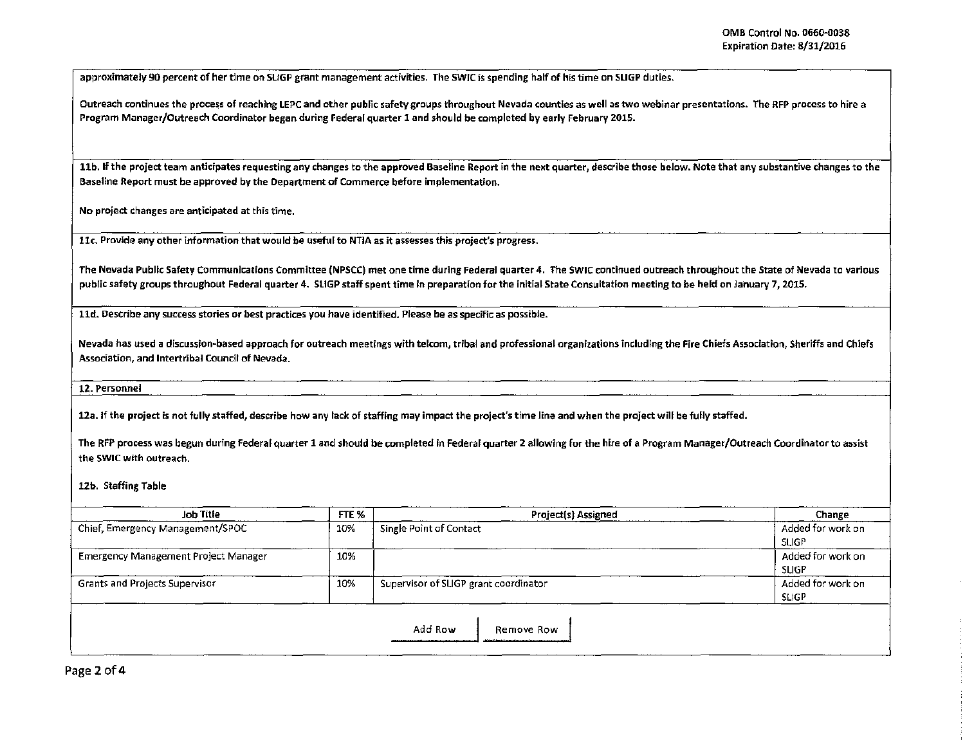approximately 90 percent of her time on SLIGP grant management activities. The SWJC is spending half of his time on SLIGP duties.

Outreach continues the process of reaching LEPC and other public safety groups throughout Nevada counties as well as two webinar presentations. The RFP process to hire a Program Manager/Outreach Coordinator began during Federal quarter 1 and should be completed by early February 2015.

11b. If the project team anticipates requesting any changes to the approved Baseline Report in the next quarter, describe those below. Note that any substantive changes to the Baseline Report must be approved by the Department of Commerce before implementation.

No project changes are anticipated at this time.

llc. Provide any other information that would be useful to NT/A as it assesses this project's progress.

The Nevada Public Safety Communications Committee (NPSCC) met one time during Federal quarter 4. The SWIC continued outreach throughout the State of Nevada to various public safety groups throughout Federal quarter 4. SLIGP staff spent time in preparation for the initial State Consultation meeting to be held on January 7, 201S.

lld. Describe any success stories or best practices you have identified. Please be as specific as possible.

Nevada has used a discussion-based approach for outreach meetings with telcom, tribal and professional organizations including the Fire Chiefs Association, Sheriffs and Chiefs Association, and Intertribal Council of Nevada.

12. Personnel

12a. If the project is not fully staffed, describe how any tack of staffing may impact the project's time line and when the project will be fully staffed.

The RFP process was begun during Federal quarter 1 and should be completed in Federal quarter 2 allowing for the hire of a Program Manager/Outreach Coordinator to assist the SWIC with outreach.

12b. Staffing Table

| Job Title                                   | FTE % | Project(s) Assigned                   | Change            |
|---------------------------------------------|-------|---------------------------------------|-------------------|
| Chief, Emergency Management/SPOC            | 10%   | Single Point of Contact               | Added for work on |
|                                             |       |                                       | SLIGP             |
| <b>Emergency Management Project Manager</b> | 10%   |                                       | Added for work on |
|                                             |       |                                       | <b>SLIGP</b>      |
| <b>Grants and Projects Supervisor</b>       | 10%   | Supervisor of SLIGP grant coordinator | Added for work on |
|                                             |       |                                       | SLIGP             |
|                                             |       |                                       |                   |
|                                             |       | Add Row<br>Remove Row                 |                   |
|                                             |       |                                       |                   |

Page 2 of 4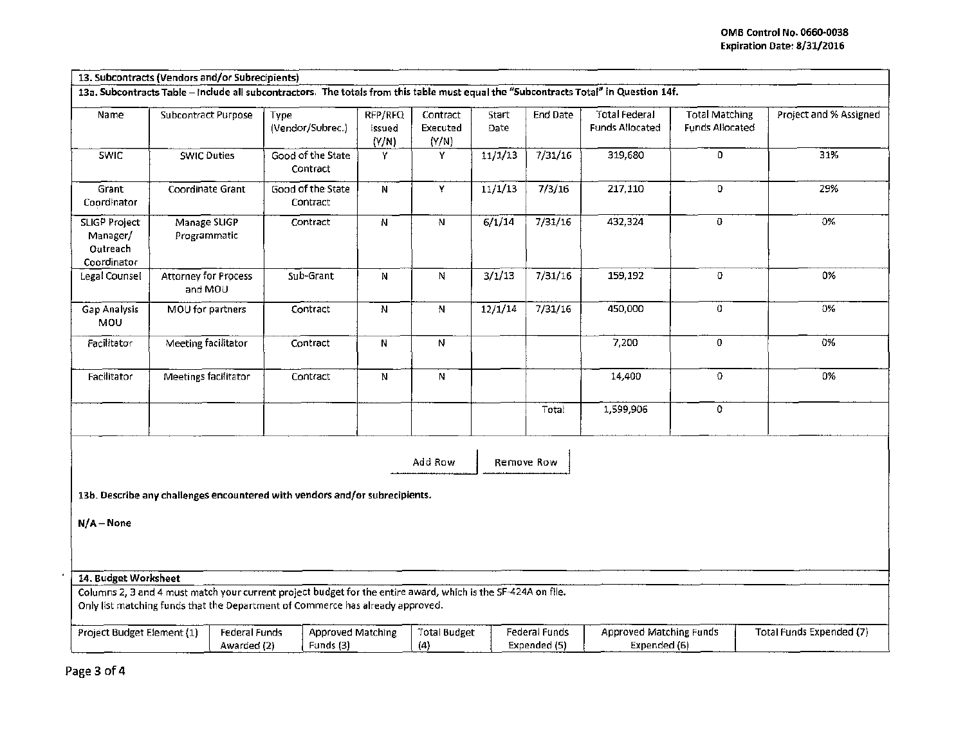|                                                      | 13. Subcontracts (Vendors and/or Subrecipients) |                                                                                                                                                                                                 |                            |                               |                     |                               |                                                |                                                 |                                 |
|------------------------------------------------------|-------------------------------------------------|-------------------------------------------------------------------------------------------------------------------------------------------------------------------------------------------------|----------------------------|-------------------------------|---------------------|-------------------------------|------------------------------------------------|-------------------------------------------------|---------------------------------|
|                                                      |                                                 | 13a. Subcontracts Table - Include all subcontractors. The totals from this table must equal the "Subcontracts Total" in Question 14f.                                                           |                            |                               |                     |                               |                                                |                                                 |                                 |
| Name                                                 | <b>Subcontract Purpose</b>                      | Type<br>(Vendor/Subrec.)                                                                                                                                                                        | RFP/RFQ<br>Issued<br>(Y/N) | Contract<br>Executed<br>(Y/N) | Start<br>Date       | End Date                      | <b>Total Federal</b><br><b>Funds Allocated</b> | <b>Total Matching</b><br><b>Funds Allocated</b> | Project and % Assigned          |
| <b>SWIC</b>                                          | <b>SWIC Duties</b>                              | Good of the State<br>Contract                                                                                                                                                                   | Y                          | Y                             | 11/1/13             | 7/31/16                       | 319,680                                        | 0                                               | 31%                             |
| Grant<br>Coordinator                                 | Coordinate Grant                                | Good of the State<br>Contract                                                                                                                                                                   | N                          | $\bar{\mathbf{Y}}$            | 11/1/13             | 7/3/16                        | 217,110                                        | 0                                               | 29%                             |
| SLIGP Project<br>Manager/<br>Outreach<br>Coordinator | Manage SLIGP<br>Programmatic                    | Contract                                                                                                                                                                                        | $\overline{N}$             | $\mathbf N$                   | 6/1/14              | 7/31/16                       | 432,324                                        | 0                                               | 0%                              |
| Legal Counsel                                        | <b>Attorney for Process</b><br>and MOU          | Sub-Grant                                                                                                                                                                                       | N                          | N                             | 3/1/13              | 7/31/16                       | 159,192                                        | O                                               | 0%                              |
| Gap Analysis<br>MOU                                  | MOU for partners                                | Contract                                                                                                                                                                                        | $\overline{\mathbf{N}}$    | $\mathbb N$                   | $\frac{12}{12}$ /14 | 7/31/16                       | 450,000                                        | $\overline{0}$                                  | 0%                              |
| Facilitator                                          | Meeting facilitator                             | Contract                                                                                                                                                                                        | N                          | $\overline{N}$                |                     |                               | 7,200                                          | 0                                               | 0%                              |
| Facilitator                                          | Meetings facilitator                            | Contract                                                                                                                                                                                        | N                          | N                             |                     |                               | 14,400                                         | $\mathbf 0$                                     | 0%                              |
|                                                      |                                                 |                                                                                                                                                                                                 |                            |                               |                     | Total                         | 1,599,906                                      | $\mathbf 0$                                     |                                 |
| $N/A - None$                                         |                                                 | 13b. Describe any challenges encountered with vendors and/or subrecipients.                                                                                                                     |                            | Add Row                       |                     | Remove Row                    |                                                |                                                 |                                 |
| 14. Budget Worksheet                                 |                                                 |                                                                                                                                                                                                 |                            |                               |                     |                               |                                                |                                                 |                                 |
|                                                      |                                                 | Columns 2, 3 and 4 must match your current project budget for the entire award, which is the SF-424A on file.<br>Only list matching funds that the Department of Commerce has already approved. |                            |                               |                     |                               |                                                |                                                 |                                 |
| Project Budget Element (1)                           |                                                 | <b>Federal Funds</b><br>Funds (3)<br>Awarded (2)                                                                                                                                                | <b>Approved Matching</b>   | Total Budget<br>(4)           |                     | Federal Funds<br>Expended (5) | <b>Approved Matching Funds</b><br>Expended (6) |                                                 | <b>Total Funds Expended (7)</b> |